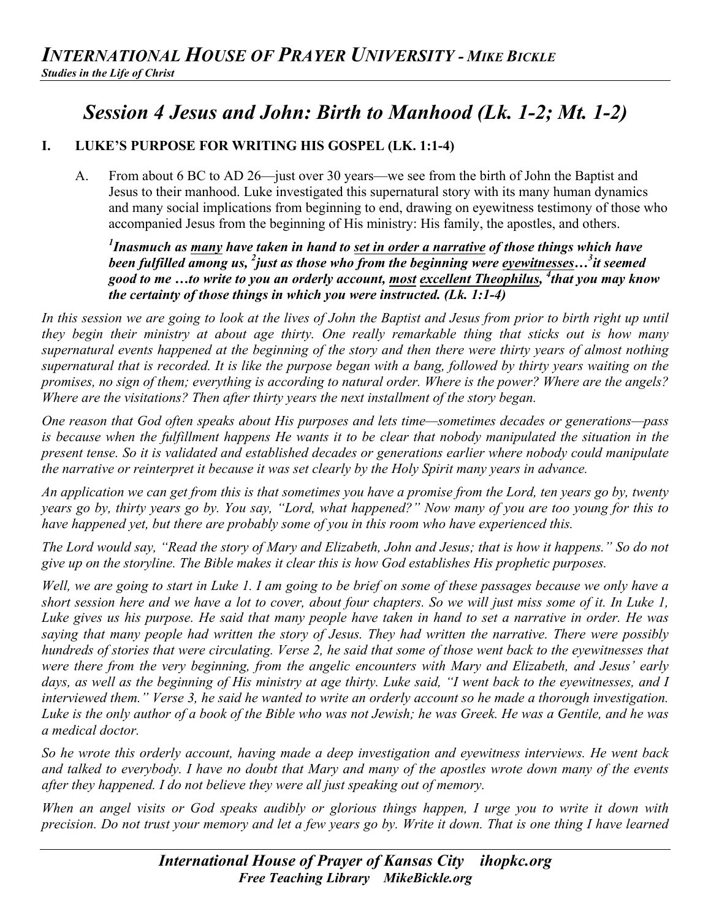## *Session 4 Jesus and John: Birth to Manhood (Lk. 1-2; Mt. 1-2)*

## **I. LUKE'S PURPOSE FOR WRITING HIS GOSPEL (LK. 1:1-4)**

A. From about 6 BC to AD 26—just over 30 years—we see from the birth of John the Baptist and Jesus to their manhood. Luke investigated this supernatural story with its many human dynamics and many social implications from beginning to end, drawing on eyewitness testimony of those who accompanied Jesus from the beginning of His ministry: His family, the apostles, and others.

*1 Inasmuch as many have taken in hand to set in order a narrative of those things which have*  been fulfilled among us, <sup>2</sup> just as those who from the beginning were eyewitnesses...<sup>3</sup> it seemed *good to me …to write to you an orderly account, most excellent Theophilus, 4 that you may know the certainty of those things in which you were instructed. (Lk. 1:1-4)*

*In this session we are going to look at the lives of John the Baptist and Jesus from prior to birth right up until they begin their ministry at about age thirty. One really remarkable thing that sticks out is how many supernatural events happened at the beginning of the story and then there were thirty years of almost nothing supernatural that is recorded. It is like the purpose began with a bang, followed by thirty years waiting on the promises, no sign of them; everything is according to natural order. Where is the power? Where are the angels? Where are the visitations? Then after thirty years the next installment of the story began.*

*One reason that God often speaks about His purposes and lets time—sometimes decades or generations—pass is because when the fulfillment happens He wants it to be clear that nobody manipulated the situation in the present tense. So it is validated and established decades or generations earlier where nobody could manipulate the narrative or reinterpret it because it was set clearly by the Holy Spirit many years in advance.*

*An application we can get from this is that sometimes you have a promise from the Lord, ten years go by, twenty years go by, thirty years go by. You say, "Lord, what happened?" Now many of you are too young for this to have happened yet, but there are probably some of you in this room who have experienced this.*

*The Lord would say, "Read the story of Mary and Elizabeth, John and Jesus; that is how it happens." So do not give up on the storyline. The Bible makes it clear this is how God establishes His prophetic purposes.*

*Well, we are going to start in Luke 1. I am going to be brief on some of these passages because we only have a short session here and we have a lot to cover, about four chapters. So we will just miss some of it. In Luke 1, Luke gives us his purpose. He said that many people have taken in hand to set a narrative in order. He was saying that many people had written the story of Jesus. They had written the narrative. There were possibly hundreds of stories that were circulating. Verse 2, he said that some of those went back to the eyewitnesses that were there from the very beginning, from the angelic encounters with Mary and Elizabeth, and Jesus' early days, as well as the beginning of His ministry at age thirty. Luke said, "I went back to the eyewitnesses, and I interviewed them." Verse 3, he said he wanted to write an orderly account so he made a thorough investigation. Luke is the only author of a book of the Bible who was not Jewish; he was Greek. He was a Gentile, and he was a medical doctor.*

*So he wrote this orderly account, having made a deep investigation and eyewitness interviews. He went back and talked to everybody. I have no doubt that Mary and many of the apostles wrote down many of the events after they happened. I do not believe they were all just speaking out of memory.*

*When an angel visits or God speaks audibly or glorious things happen, I urge you to write it down with precision. Do not trust your memory and let a few years go by. Write it down. That is one thing I have learned*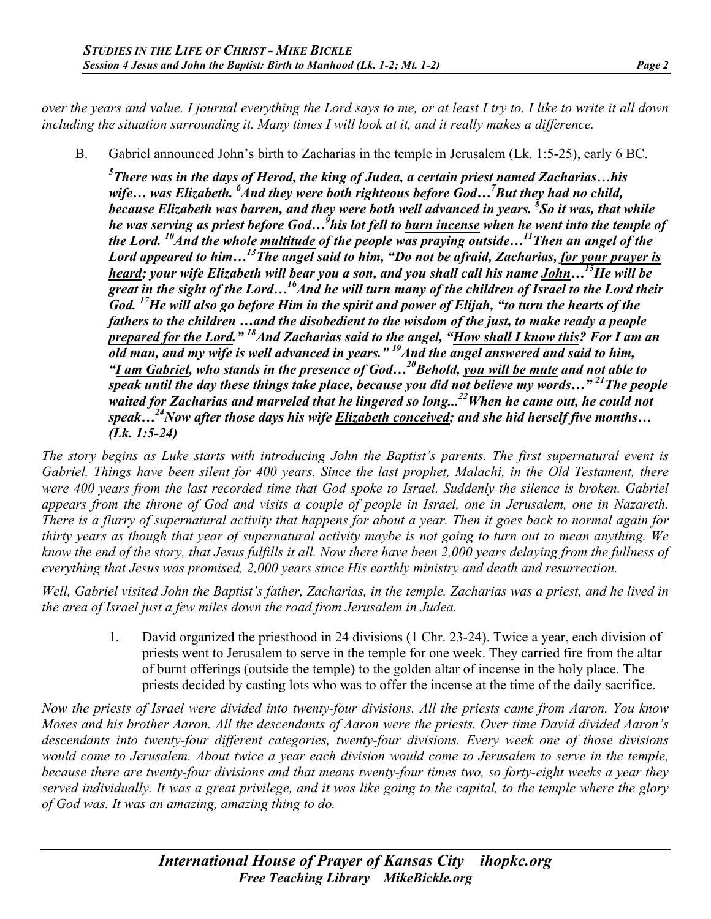*over the years and value. I journal everything the Lord says to me, or at least I try to. I like to write it all down including the situation surrounding it. Many times I will look at it, and it really makes a difference.*

B. Gabriel announced John's birth to Zacharias in the temple in Jerusalem (Lk. 1:5-25), early 6 BC.

*5 There was in the days of Herod, the king of Judea, a certain priest named Zacharias…his wife… was Elizabeth. <sup>6</sup> And they were both righteous before God…7 But they had no child, because Elizabeth was barren, and they were both well advanced in years. 8 So it was, that while he was serving as priest before God…9 his lot fell to burn incense when he went into the temple of the Lord. 10And the whole multitude of the people was praying outside…11Then an angel of the Lord appeared to him…13The angel said to him, "Do not be afraid, Zacharias, for your prayer is heard; your wife Elizabeth will bear you a son, and you shall call his name John…15He will be great in the sight of the Lord…16And he will turn many of the children of Israel to the Lord their God. 17He will also go before Him in the spirit and power of Elijah, "to turn the hearts of the fathers to the children …and the disobedient to the wisdom of the just, to make ready a people prepared for the Lord." 18And Zacharias said to the angel, "How shall I know this? For I am an old man, and my wife is well advanced in years." 19And the angel answered and said to him, "I am Gabriel, who stands in the presence of God…20Behold, you will be mute and not able to speak until the day these things take place, because you did not believe my words…" 21The people waited for Zacharias and marveled that he lingered so long... 22When he came out, he could not speak…24Now after those days his wife Elizabeth conceived; and she hid herself five months… (Lk. 1:5-24)*

*The story begins as Luke starts with introducing John the Baptist's parents. The first supernatural event is Gabriel. Things have been silent for 400 years. Since the last prophet, Malachi, in the Old Testament, there were 400 years from the last recorded time that God spoke to Israel. Suddenly the silence is broken. Gabriel appears from the throne of God and visits a couple of people in Israel, one in Jerusalem, one in Nazareth. There is a flurry of supernatural activity that happens for about a year. Then it goes back to normal again for thirty years as though that year of supernatural activity maybe is not going to turn out to mean anything. We know the end of the story, that Jesus fulfills it all. Now there have been 2,000 years delaying from the fullness of everything that Jesus was promised, 2,000 years since His earthly ministry and death and resurrection.*

*Well, Gabriel visited John the Baptist's father, Zacharias, in the temple. Zacharias was a priest, and he lived in the area of Israel just a few miles down the road from Jerusalem in Judea.* 

1. David organized the priesthood in 24 divisions (1 Chr. 23-24). Twice a year, each division of priests went to Jerusalem to serve in the temple for one week. They carried fire from the altar of burnt offerings (outside the temple) to the golden altar of incense in the holy place. The priests decided by casting lots who was to offer the incense at the time of the daily sacrifice.

*Now the priests of Israel were divided into twenty-four divisions. All the priests came from Aaron. You know Moses and his brother Aaron. All the descendants of Aaron were the priests. Over time David divided Aaron's descendants into twenty-four different categories, twenty-four divisions. Every week one of those divisions would come to Jerusalem. About twice a year each division would come to Jerusalem to serve in the temple, because there are twenty-four divisions and that means twenty-four times two, so forty-eight weeks a year they served individually. It was a great privilege, and it was like going to the capital, to the temple where the glory of God was. It was an amazing, amazing thing to do.*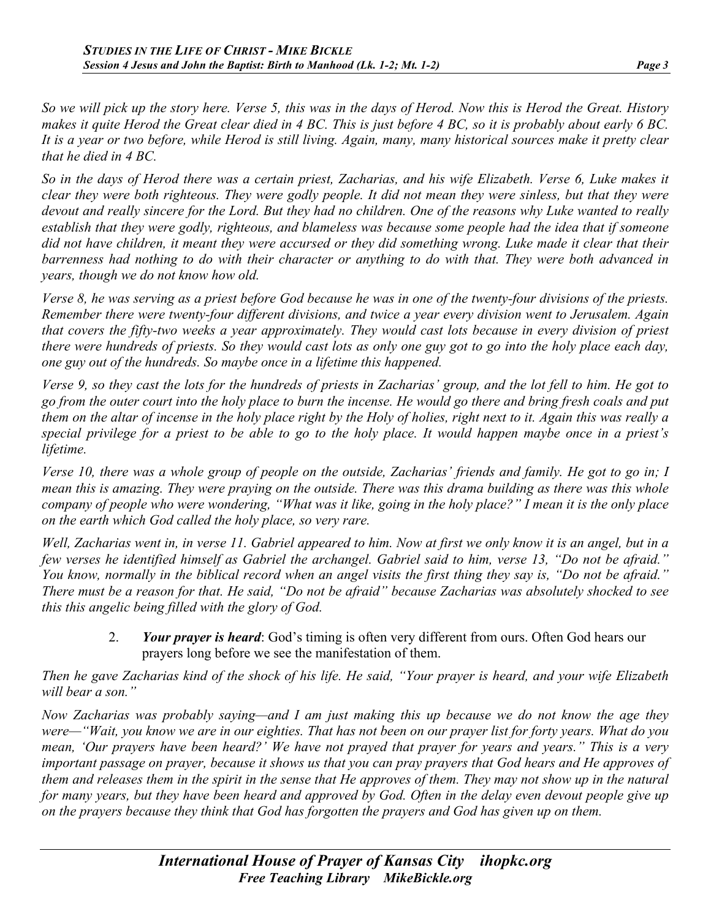*So we will pick up the story here. Verse 5, this was in the days of Herod. Now this is Herod the Great. History makes it quite Herod the Great clear died in 4 BC. This is just before 4 BC, so it is probably about early 6 BC. It is a year or two before, while Herod is still living. Again, many, many historical sources make it pretty clear that he died in 4 BC.*

*So in the days of Herod there was a certain priest, Zacharias, and his wife Elizabeth. Verse 6, Luke makes it clear they were both righteous. They were godly people. It did not mean they were sinless, but that they were devout and really sincere for the Lord. But they had no children. One of the reasons why Luke wanted to really establish that they were godly, righteous, and blameless was because some people had the idea that if someone did not have children, it meant they were accursed or they did something wrong. Luke made it clear that their barrenness had nothing to do with their character or anything to do with that. They were both advanced in years, though we do not know how old.* 

*Verse 8, he was serving as a priest before God because he was in one of the twenty-four divisions of the priests. Remember there were twenty-four different divisions, and twice a year every division went to Jerusalem. Again that covers the fifty-two weeks a year approximately. They would cast lots because in every division of priest there were hundreds of priests. So they would cast lots as only one guy got to go into the holy place each day, one guy out of the hundreds. So maybe once in a lifetime this happened.*

*Verse 9, so they cast the lots for the hundreds of priests in Zacharias' group, and the lot fell to him. He got to go from the outer court into the holy place to burn the incense. He would go there and bring fresh coals and put them on the altar of incense in the holy place right by the Holy of holies, right next to it. Again this was really a special privilege for a priest to be able to go to the holy place. It would happen maybe once in a priest's lifetime.*

*Verse 10, there was a whole group of people on the outside, Zacharias' friends and family. He got to go in; I mean this is amazing. They were praying on the outside. There was this drama building as there was this whole company of people who were wondering, "What was it like, going in the holy place?" I mean it is the only place on the earth which God called the holy place, so very rare.*

*Well, Zacharias went in, in verse 11. Gabriel appeared to him. Now at first we only know it is an angel, but in a few verses he identified himself as Gabriel the archangel. Gabriel said to him, verse 13, "Do not be afraid." You know, normally in the biblical record when an angel visits the first thing they say is, "Do not be afraid." There must be a reason for that. He said, "Do not be afraid" because Zacharias was absolutely shocked to see this this angelic being filled with the glory of God.*

2. *Your prayer is heard*: God's timing is often very different from ours. Often God hears our prayers long before we see the manifestation of them.

*Then he gave Zacharias kind of the shock of his life. He said, "Your prayer is heard, and your wife Elizabeth will bear a son."*

*Now Zacharias was probably saying—and I am just making this up because we do not know the age they were—"Wait, you know we are in our eighties. That has not been on our prayer list for forty years. What do you mean, 'Our prayers have been heard?' We have not prayed that prayer for years and years." This is a very important passage on prayer, because it shows us that you can pray prayers that God hears and He approves of them and releases them in the spirit in the sense that He approves of them. They may not show up in the natural for many years, but they have been heard and approved by God. Often in the delay even devout people give up on the prayers because they think that God has forgotten the prayers and God has given up on them.*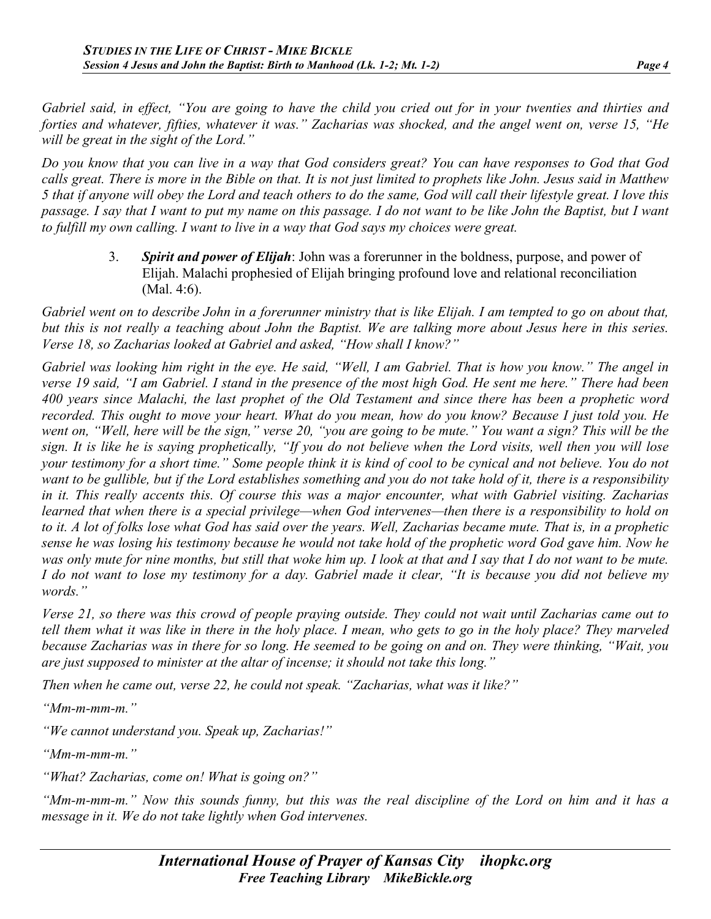*Gabriel said, in effect, "You are going to have the child you cried out for in your twenties and thirties and forties and whatever, fifties, whatever it was." Zacharias was shocked, and the angel went on, verse 15, "He will be great in the sight of the Lord."*

*Do you know that you can live in a way that God considers great? You can have responses to God that God calls great. There is more in the Bible on that. It is not just limited to prophets like John. Jesus said in Matthew 5 that if anyone will obey the Lord and teach others to do the same, God will call their lifestyle great. I love this passage. I say that I want to put my name on this passage. I do not want to be like John the Baptist, but I want to fulfill my own calling. I want to live in a way that God says my choices were great.*

> 3. *Spirit and power of Elijah*: John was a forerunner in the boldness, purpose, and power of Elijah. Malachi prophesied of Elijah bringing profound love and relational reconciliation (Mal. 4:6).

*Gabriel went on to describe John in a forerunner ministry that is like Elijah. I am tempted to go on about that, but this is not really a teaching about John the Baptist. We are talking more about Jesus here in this series. Verse 18, so Zacharias looked at Gabriel and asked, "How shall I know?"*

*Gabriel was looking him right in the eye. He said, "Well, I am Gabriel. That is how you know." The angel in verse 19 said, "I am Gabriel. I stand in the presence of the most high God. He sent me here." There had been 400 years since Malachi, the last prophet of the Old Testament and since there has been a prophetic word recorded. This ought to move your heart. What do you mean, how do you know? Because I just told you. He went on, "Well, here will be the sign," verse 20, "you are going to be mute." You want a sign? This will be the sign. It is like he is saying prophetically, "If you do not believe when the Lord visits, well then you will lose your testimony for a short time." Some people think it is kind of cool to be cynical and not believe. You do not want to be gullible, but if the Lord establishes something and you do not take hold of it, there is a responsibility in it. This really accents this. Of course this was a major encounter, what with Gabriel visiting. Zacharias learned that when there is a special privilege—when God intervenes—then there is a responsibility to hold on to it. A lot of folks lose what God has said over the years. Well, Zacharias became mute. That is, in a prophetic sense he was losing his testimony because he would not take hold of the prophetic word God gave him. Now he was only mute for nine months, but still that woke him up. I look at that and I say that I do not want to be mute. I do not want to lose my testimony for a day. Gabriel made it clear, "It is because you did not believe my words."*

*Verse 21, so there was this crowd of people praying outside. They could not wait until Zacharias came out to tell them what it was like in there in the holy place. I mean, who gets to go in the holy place? They marveled because Zacharias was in there for so long. He seemed to be going on and on. They were thinking, "Wait, you are just supposed to minister at the altar of incense; it should not take this long."*

*Then when he came out, verse 22, he could not speak. "Zacharias, what was it like?"*

*"Mm-m-mm-m."*

*"We cannot understand you. Speak up, Zacharias!"*

*"Mm-m-mm-m."*

*"What? Zacharias, come on! What is going on?"*

*"Mm-m-mm-m." Now this sounds funny, but this was the real discipline of the Lord on him and it has a message in it. We do not take lightly when God intervenes.*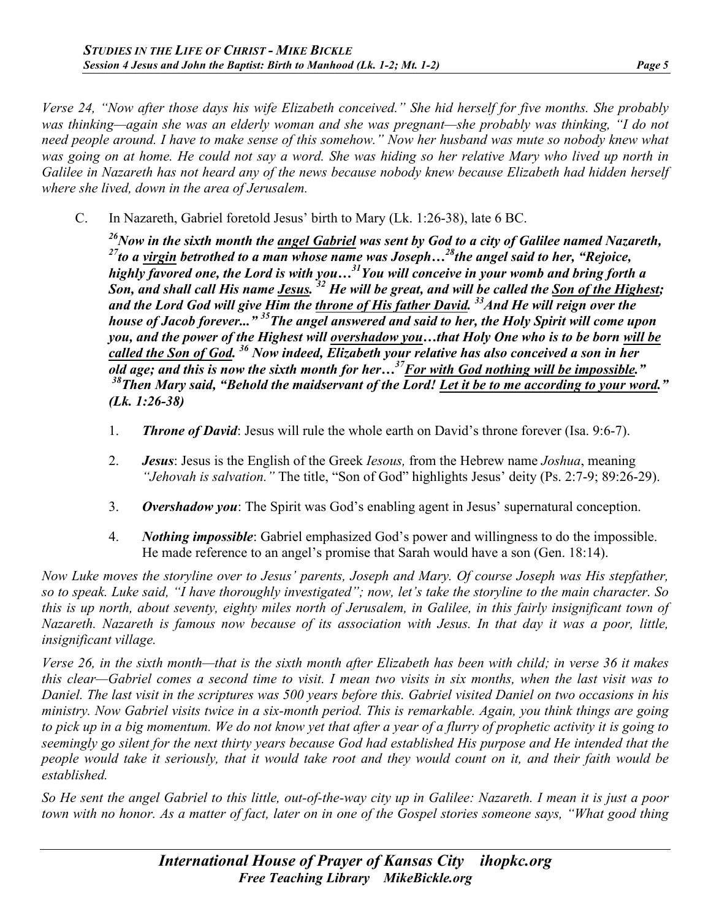*Verse 24, "Now after those days his wife Elizabeth conceived." She hid herself for five months. She probably was thinking—again she was an elderly woman and she was pregnant—she probably was thinking, "I do not need people around. I have to make sense of this somehow." Now her husband was mute so nobody knew what was going on at home. He could not say a word. She was hiding so her relative Mary who lived up north in Galilee in Nazareth has not heard any of the news because nobody knew because Elizabeth had hidden herself where she lived, down in the area of Jerusalem.*

C. In Nazareth, Gabriel foretold Jesus' birth to Mary (Lk. 1:26-38), late 6 BC.

*26Now in the sixth month the angel Gabriel was sent by God to a city of Galilee named Nazareth, 27to a virgin betrothed to a man whose name was Joseph…28the angel said to her, "Rejoice, highly favored one, the Lord is with you…31You will conceive in your womb and bring forth a Son, and shall call His name Jesus. 32 He will be great, and will be called the Son of the Highest;*  and the Lord God will give Him the throne of His father David.<sup>33</sup> And He will reign over the *house of Jacob forever..." 35The angel answered and said to her, the Holy Spirit will come upon you, and the power of the Highest will overshadow you…that Holy One who is to be born will be called the Son of God. 36 Now indeed, Elizabeth your relative has also conceived a son in her old age; and this is now the sixth month for her…37For with God nothing will be impossible." 38Then Mary said, "Behold the maidservant of the Lord! Let it be to me according to your word." (Lk. 1:26-38)*

- 1. *Throne of David*: Jesus will rule the whole earth on David's throne forever (Isa. 9:6-7).
- 2. *Jesus*: Jesus is the English of the Greek *Iesous,* from the Hebrew name *Joshua*, meaning *"Jehovah is salvation."* The title, "Son of God" highlights Jesus' deity (Ps. 2:7-9; 89:26-29).
- 3. *Overshadow you*: The Spirit was God's enabling agent in Jesus' supernatural conception.
- 4. *Nothing impossible*: Gabriel emphasized God's power and willingness to do the impossible. He made reference to an angel's promise that Sarah would have a son (Gen. 18:14).

*Now Luke moves the storyline over to Jesus' parents, Joseph and Mary. Of course Joseph was His stepfather, so to speak. Luke said, "I have thoroughly investigated"; now, let's take the storyline to the main character. So this is up north, about seventy, eighty miles north of Jerusalem, in Galilee, in this fairly insignificant town of Nazareth. Nazareth is famous now because of its association with Jesus. In that day it was a poor, little, insignificant village.*

*Verse 26, in the sixth month—that is the sixth month after Elizabeth has been with child; in verse 36 it makes this clear—Gabriel comes a second time to visit. I mean two visits in six months, when the last visit was to Daniel. The last visit in the scriptures was 500 years before this. Gabriel visited Daniel on two occasions in his ministry. Now Gabriel visits twice in a six-month period. This is remarkable. Again, you think things are going to pick up in a big momentum. We do not know yet that after a year of a flurry of prophetic activity it is going to seemingly go silent for the next thirty years because God had established His purpose and He intended that the people would take it seriously, that it would take root and they would count on it, and their faith would be established.*

*So He sent the angel Gabriel to this little, out-of-the-way city up in Galilee: Nazareth. I mean it is just a poor town with no honor. As a matter of fact, later on in one of the Gospel stories someone says, "What good thing*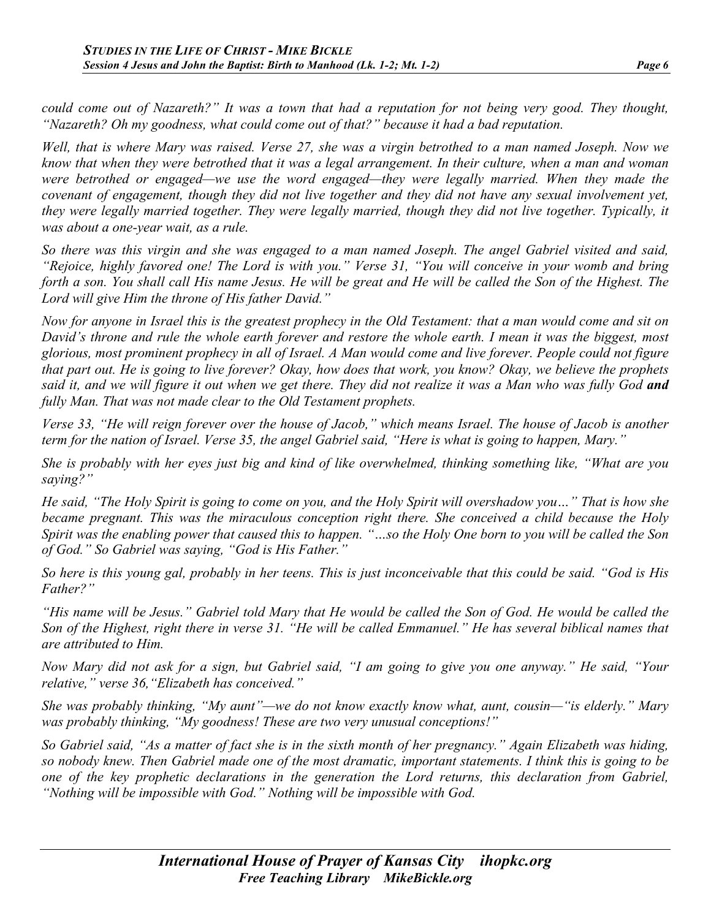*could come out of Nazareth?" It was a town that had a reputation for not being very good. They thought, "Nazareth? Oh my goodness, what could come out of that?" because it had a bad reputation.*

*Well, that is where Mary was raised. Verse 27, she was a virgin betrothed to a man named Joseph. Now we know that when they were betrothed that it was a legal arrangement. In their culture, when a man and woman were betrothed or engaged—we use the word engaged—they were legally married. When they made the covenant of engagement, though they did not live together and they did not have any sexual involvement yet, they were legally married together. They were legally married, though they did not live together. Typically, it was about a one-year wait, as a rule.*

*So there was this virgin and she was engaged to a man named Joseph. The angel Gabriel visited and said, "Rejoice, highly favored one! The Lord is with you." Verse 31, "You will conceive in your womb and bring forth a son. You shall call His name Jesus. He will be great and He will be called the Son of the Highest. The Lord will give Him the throne of His father David."*

*Now for anyone in Israel this is the greatest prophecy in the Old Testament: that a man would come and sit on David's throne and rule the whole earth forever and restore the whole earth. I mean it was the biggest, most glorious, most prominent prophecy in all of Israel. A Man would come and live forever. People could not figure that part out. He is going to live forever? Okay, how does that work, you know? Okay, we believe the prophets said it, and we will figure it out when we get there. They did not realize it was a Man who was fully God and fully Man. That was not made clear to the Old Testament prophets.*

*Verse 33, "He will reign forever over the house of Jacob," which means Israel. The house of Jacob is another term for the nation of Israel. Verse 35, the angel Gabriel said, "Here is what is going to happen, Mary."*

*She is probably with her eyes just big and kind of like overwhelmed, thinking something like, "What are you saying?"*

*He said, "The Holy Spirit is going to come on you, and the Holy Spirit will overshadow you…" That is how she became pregnant. This was the miraculous conception right there. She conceived a child because the Holy Spirit was the enabling power that caused this to happen. "…so the Holy One born to you will be called the Son of God." So Gabriel was saying, "God is His Father."* 

*So here is this young gal, probably in her teens. This is just inconceivable that this could be said. "God is His Father?"*

*"His name will be Jesus." Gabriel told Mary that He would be called the Son of God. He would be called the Son of the Highest, right there in verse 31. "He will be called Emmanuel." He has several biblical names that are attributed to Him.*

*Now Mary did not ask for a sign, but Gabriel said, "I am going to give you one anyway." He said, "Your relative," verse 36,"Elizabeth has conceived."*

*She was probably thinking, "My aunt"—we do not know exactly know what, aunt, cousin—"is elderly." Mary was probably thinking, "My goodness! These are two very unusual conceptions!"*

*So Gabriel said, "As a matter of fact she is in the sixth month of her pregnancy." Again Elizabeth was hiding, so nobody knew. Then Gabriel made one of the most dramatic, important statements. I think this is going to be one of the key prophetic declarations in the generation the Lord returns, this declaration from Gabriel, "Nothing will be impossible with God." Nothing will be impossible with God.*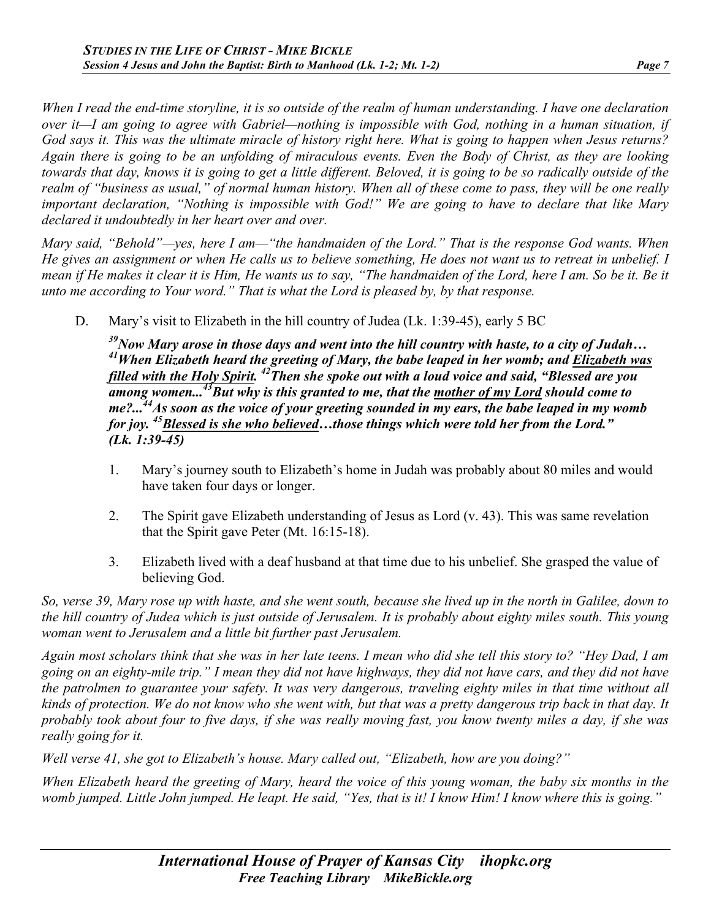*When I read the end-time storyline, it is so outside of the realm of human understanding. I have one declaration over it—I am going to agree with Gabriel—nothing is impossible with God, nothing in a human situation, if God says it. This was the ultimate miracle of history right here. What is going to happen when Jesus returns? Again there is going to be an unfolding of miraculous events. Even the Body of Christ, as they are looking towards that day, knows it is going to get a little different. Beloved, it is going to be so radically outside of the*  realm of "business as usual," of normal human history. When all of these come to pass, they will be one really *important declaration, "Nothing is impossible with God!" We are going to have to declare that like Mary declared it undoubtedly in her heart over and over.*

*Mary said, "Behold"—yes, here I am—"the handmaiden of the Lord." That is the response God wants. When He gives an assignment or when He calls us to believe something, He does not want us to retreat in unbelief. I mean if He makes it clear it is Him, He wants us to say, "The handmaiden of the Lord, here I am. So be it. Be it unto me according to Your word." That is what the Lord is pleased by, by that response.*

D. Mary's visit to Elizabeth in the hill country of Judea (Lk. 1:39-45), early 5 BC

<sup>39</sup>Now Mary arose in those days and went into the hill country with haste, to a city of Judah...<br><sup>41</sup>When Elizabeth heard the greeting of Mary, the babe leaped in her womb; and Elizabeth was *filled with the Holy Spirit. 42Then she spoke out with a loud voice and said, "Blessed are you among women...43But why is this granted to me, that the mother of my Lord should come to me?...44As soon as the voice of your greeting sounded in my ears, the babe leaped in my womb for joy. 45Blessed is she who believed…those things which were told her from the Lord." (Lk. 1:39-45)*

- 1. Mary's journey south to Elizabeth's home in Judah was probably about 80 miles and would have taken four days or longer.
- 2. The Spirit gave Elizabeth understanding of Jesus as Lord (v. 43). This was same revelation that the Spirit gave Peter (Mt. 16:15-18).
- 3. Elizabeth lived with a deaf husband at that time due to his unbelief. She grasped the value of believing God.

*So, verse 39, Mary rose up with haste, and she went south, because she lived up in the north in Galilee, down to the hill country of Judea which is just outside of Jerusalem. It is probably about eighty miles south. This young woman went to Jerusalem and a little bit further past Jerusalem.*

*Again most scholars think that she was in her late teens. I mean who did she tell this story to? "Hey Dad, I am going on an eighty-mile trip." I mean they did not have highways, they did not have cars, and they did not have the patrolmen to guarantee your safety. It was very dangerous, traveling eighty miles in that time without all kinds of protection. We do not know who she went with, but that was a pretty dangerous trip back in that day. It probably took about four to five days, if she was really moving fast, you know twenty miles a day, if she was really going for it.*

*Well verse 41, she got to Elizabeth's house. Mary called out, "Elizabeth, how are you doing?"*

*When Elizabeth heard the greeting of Mary, heard the voice of this young woman, the baby six months in the womb jumped. Little John jumped. He leapt. He said, "Yes, that is it! I know Him! I know where this is going."*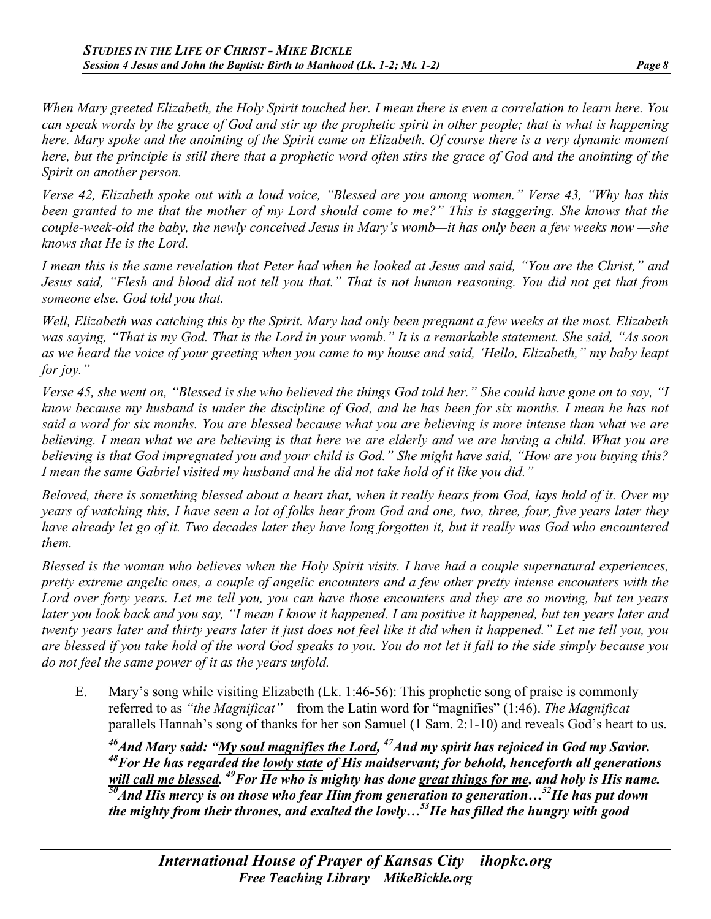*When Mary greeted Elizabeth, the Holy Spirit touched her. I mean there is even a correlation to learn here. You can speak words by the grace of God and stir up the prophetic spirit in other people; that is what is happening here. Mary spoke and the anointing of the Spirit came on Elizabeth. Of course there is a very dynamic moment here, but the principle is still there that a prophetic word often stirs the grace of God and the anointing of the Spirit on another person.*

*Verse 42, Elizabeth spoke out with a loud voice, "Blessed are you among women." Verse 43, "Why has this been granted to me that the mother of my Lord should come to me?" This is staggering. She knows that the couple-week-old the baby, the newly conceived Jesus in Mary's womb—it has only been a few weeks now —she knows that He is the Lord.* 

*I mean this is the same revelation that Peter had when he looked at Jesus and said, "You are the Christ," and Jesus said, "Flesh and blood did not tell you that." That is not human reasoning. You did not get that from someone else. God told you that.*

*Well, Elizabeth was catching this by the Spirit. Mary had only been pregnant a few weeks at the most. Elizabeth was saying, "That is my God. That is the Lord in your womb." It is a remarkable statement. She said, "As soon as we heard the voice of your greeting when you came to my house and said, 'Hello, Elizabeth," my baby leapt for joy."*

*Verse 45, she went on, "Blessed is she who believed the things God told her." She could have gone on to say, "I know because my husband is under the discipline of God, and he has been for six months. I mean he has not said a word for six months. You are blessed because what you are believing is more intense than what we are believing. I mean what we are believing is that here we are elderly and we are having a child. What you are believing is that God impregnated you and your child is God." She might have said, "How are you buying this? I mean the same Gabriel visited my husband and he did not take hold of it like you did."*

*Beloved, there is something blessed about a heart that, when it really hears from God, lays hold of it. Over my years of watching this, I have seen a lot of folks hear from God and one, two, three, four, five years later they have already let go of it. Two decades later they have long forgotten it, but it really was God who encountered them.*

*Blessed is the woman who believes when the Holy Spirit visits. I have had a couple supernatural experiences, pretty extreme angelic ones, a couple of angelic encounters and a few other pretty intense encounters with the Lord over forty years. Let me tell you, you can have those encounters and they are so moving, but ten years later you look back and you say, "I mean I know it happened. I am positive it happened, but ten years later and twenty years later and thirty years later it just does not feel like it did when it happened." Let me tell you, you are blessed if you take hold of the word God speaks to you. You do not let it fall to the side simply because you do not feel the same power of it as the years unfold.*

E. Mary's song while visiting Elizabeth (Lk. 1:46-56): This prophetic song of praise is commonly referred to as *"the Magnificat"*—from the Latin word for "magnifies" (1:46). *The Magnificat* parallels Hannah's song of thanks for her son Samuel (1 Sam. 2:1-10) and reveals God's heart to us.

<sup>46</sup>And Mary said: "My soul magnifies the Lord, <sup>47</sup>And my spirit has rejoiced in God my Savior. *48For He has regarded the lowly state of His maidservant; for behold, henceforth all generations*  will call me blessed. <sup>49</sup>For He who is mighty has done great things for me, and holy is His name. *50And His mercy is on those who fear Him from generation to generation…52He has put down the mighty from their thrones, and exalted the lowly…53He has filled the hungry with good*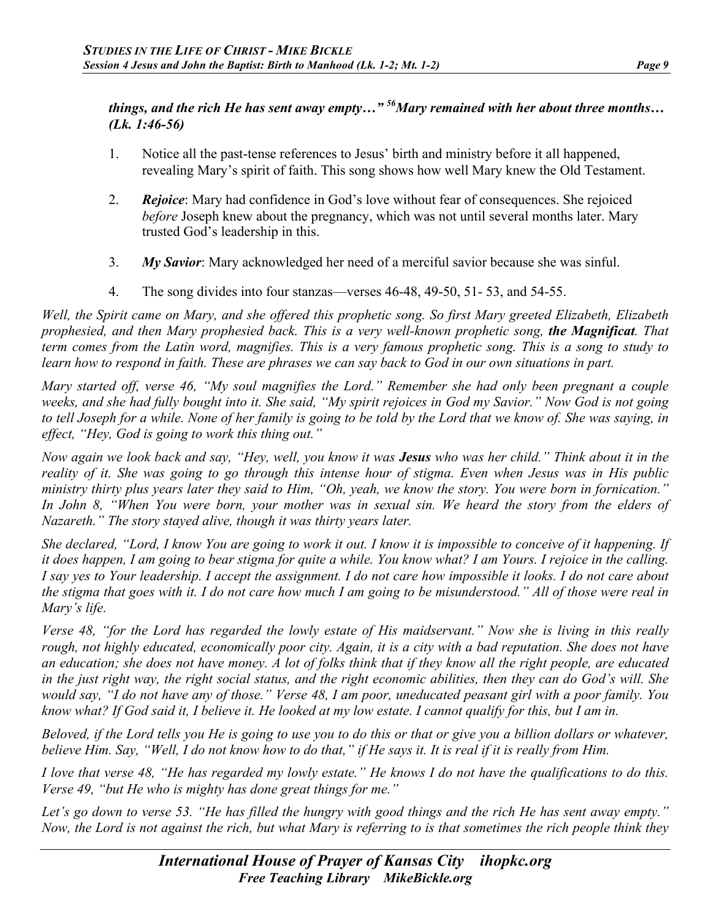## *things, and the rich He has sent away empty…" 56Mary remained with her about three months… (Lk. 1:46-56)*

- 1. Notice all the past-tense references to Jesus' birth and ministry before it all happened, revealing Mary's spirit of faith. This song shows how well Mary knew the Old Testament.
- 2. *Rejoice*: Mary had confidence in God's love without fear of consequences. She rejoiced *before* Joseph knew about the pregnancy, which was not until several months later. Mary trusted God's leadership in this.
- 3. *My Savior*: Mary acknowledged her need of a merciful savior because she was sinful.
- 4. The song divides into four stanzas—verses 46-48, 49-50, 51- 53, and 54-55.

*Well, the Spirit came on Mary, and she offered this prophetic song. So first Mary greeted Elizabeth, Elizabeth prophesied, and then Mary prophesied back. This is a very well-known prophetic song, the Magnificat. That term comes from the Latin word, magnifies. This is a very famous prophetic song. This is a song to study to learn how to respond in faith. These are phrases we can say back to God in our own situations in part.*

*Mary started off, verse 46, "My soul magnifies the Lord." Remember she had only been pregnant a couple weeks, and she had fully bought into it. She said, "My spirit rejoices in God my Savior." Now God is not going to tell Joseph for a while. None of her family is going to be told by the Lord that we know of. She was saying, in effect, "Hey, God is going to work this thing out."*

*Now again we look back and say, "Hey, well, you know it was Jesus who was her child." Think about it in the reality of it. She was going to go through this intense hour of stigma. Even when Jesus was in His public ministry thirty plus years later they said to Him, "Oh, yeah, we know the story. You were born in fornication." In John 8, "When You were born, your mother was in sexual sin. We heard the story from the elders of Nazareth." The story stayed alive, though it was thirty years later.*

*She declared, "Lord, I know You are going to work it out. I know it is impossible to conceive of it happening. If it does happen, I am going to bear stigma for quite a while. You know what? I am Yours. I rejoice in the calling. I say yes to Your leadership. I accept the assignment. I do not care how impossible it looks. I do not care about the stigma that goes with it. I do not care how much I am going to be misunderstood." All of those were real in Mary's life.*

*Verse 48, "for the Lord has regarded the lowly estate of His maidservant." Now she is living in this really rough, not highly educated, economically poor city. Again, it is a city with a bad reputation. She does not have an education; she does not have money. A lot of folks think that if they know all the right people, are educated in the just right way, the right social status, and the right economic abilities, then they can do God's will. She would say, "I do not have any of those." Verse 48, I am poor, uneducated peasant girl with a poor family. You know what? If God said it, I believe it. He looked at my low estate. I cannot qualify for this, but I am in.*

*Beloved, if the Lord tells you He is going to use you to do this or that or give you a billion dollars or whatever, believe Him. Say, "Well, I do not know how to do that," if He says it. It is real if it is really from Him.*

*I love that verse 48, "He has regarded my lowly estate." He knows I do not have the qualifications to do this. Verse 49, "but He who is mighty has done great things for me."*

*Let's go down to verse 53. "He has filled the hungry with good things and the rich He has sent away empty." Now, the Lord is not against the rich, but what Mary is referring to is that sometimes the rich people think they*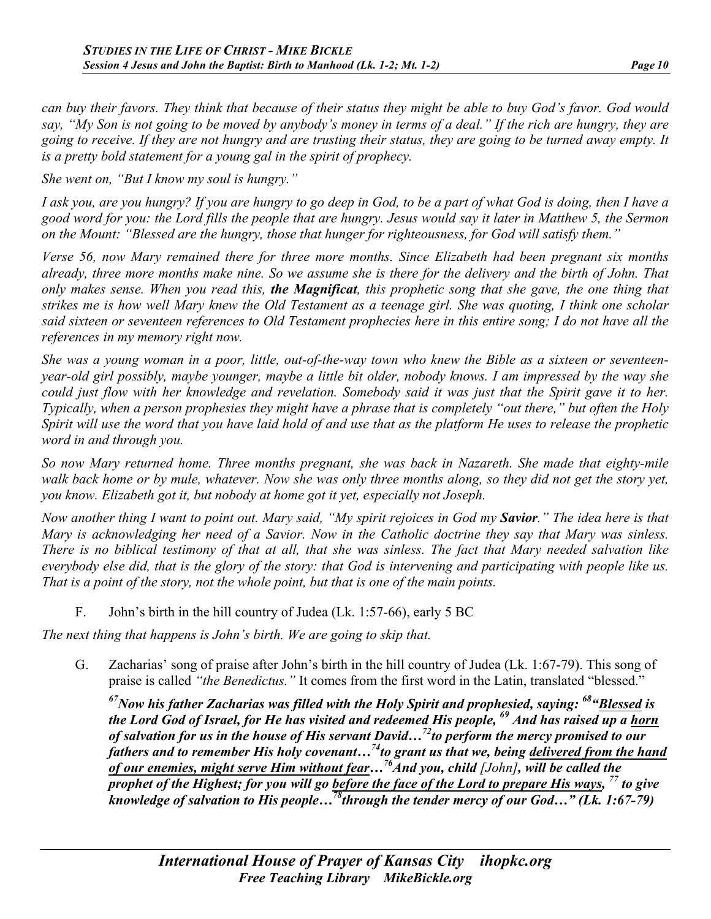*can buy their favors. They think that because of their status they might be able to buy God's favor. God would say, "My Son is not going to be moved by anybody's money in terms of a deal." If the rich are hungry, they are going to receive. If they are not hungry and are trusting their status, they are going to be turned away empty. It is a pretty bold statement for a young gal in the spirit of prophecy.*

*She went on, "But I know my soul is hungry."* 

*I ask you, are you hungry? If you are hungry to go deep in God, to be a part of what God is doing, then I have a good word for you: the Lord fills the people that are hungry. Jesus would say it later in Matthew 5, the Sermon on the Mount: "Blessed are the hungry, those that hunger for righteousness, for God will satisfy them."*

*Verse 56, now Mary remained there for three more months. Since Elizabeth had been pregnant six months already, three more months make nine. So we assume she is there for the delivery and the birth of John. That only makes sense. When you read this, the Magnificat, this prophetic song that she gave, the one thing that strikes me is how well Mary knew the Old Testament as a teenage girl. She was quoting, I think one scholar said sixteen or seventeen references to Old Testament prophecies here in this entire song; I do not have all the references in my memory right now.*

*She was a young woman in a poor, little, out-of-the-way town who knew the Bible as a sixteen or seventeenyear-old girl possibly, maybe younger, maybe a little bit older, nobody knows. I am impressed by the way she could just flow with her knowledge and revelation. Somebody said it was just that the Spirit gave it to her. Typically, when a person prophesies they might have a phrase that is completely "out there," but often the Holy Spirit will use the word that you have laid hold of and use that as the platform He uses to release the prophetic word in and through you.*

*So now Mary returned home. Three months pregnant, she was back in Nazareth. She made that eighty-mile walk back home or by mule, whatever. Now she was only three months along, so they did not get the story yet, you know. Elizabeth got it, but nobody at home got it yet, especially not Joseph.*

*Now another thing I want to point out. Mary said, "My spirit rejoices in God my Savior." The idea here is that Mary is acknowledging her need of a Savior. Now in the Catholic doctrine they say that Mary was sinless. There is no biblical testimony of that at all, that she was sinless. The fact that Mary needed salvation like everybody else did, that is the glory of the story: that God is intervening and participating with people like us. That is a point of the story, not the whole point, but that is one of the main points.*

F. John's birth in the hill country of Judea (Lk. 1:57-66), early 5 BC

*The next thing that happens is John's birth. We are going to skip that.*

G. Zacharias' song of praise after John's birth in the hill country of Judea (Lk. 1:67-79). This song of praise is called *"the Benedictus."* It comes from the first word in the Latin, translated "blessed."

*67Now his father Zacharias was filled with the Holy Spirit and prophesied, saying: 68"Blessed is the Lord God of Israel, for He has visited and redeemed His people, <sup>69</sup> And has raised up a horn of salvation for us in the house of His servant David…72to perform the mercy promised to our fathers and to remember His holy covenant…74to grant us that we, being delivered from the hand of our enemies, might serve Him without fear…76And you, child [John], will be called the prophet of the Highest; for you will go before the face of the Lord to prepare His ways,* <sup>77</sup> *to give knowledge of salvation to His people…78through the tender mercy of our God…" (Lk. 1:67-79)*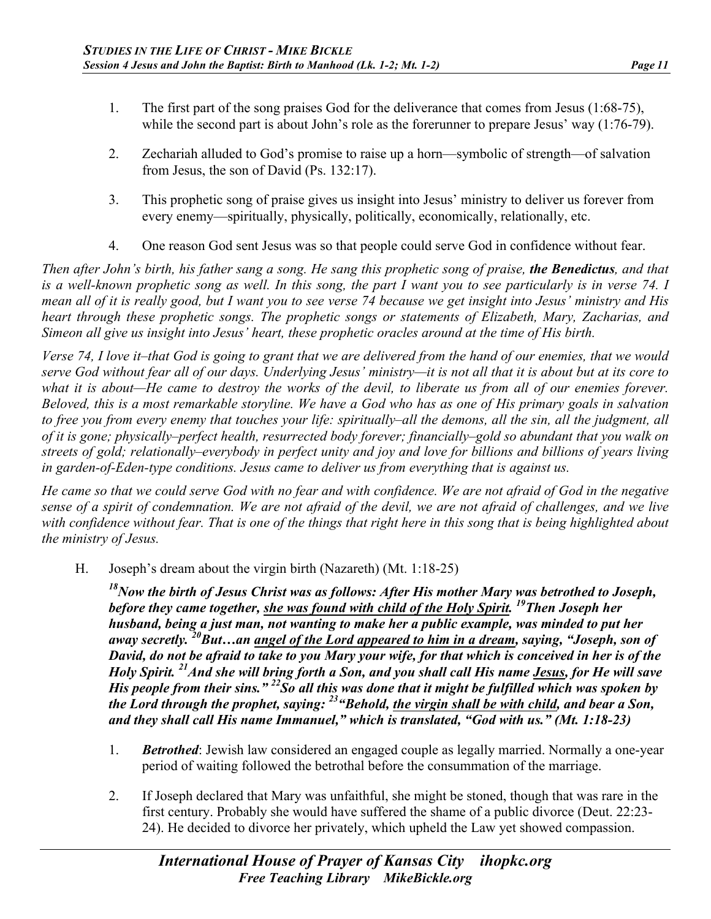- 1. The first part of the song praises God for the deliverance that comes from Jesus (1:68-75), while the second part is about John's role as the forerunner to prepare Jesus' way (1:76-79).
- 2. Zechariah alluded to God's promise to raise up a horn—symbolic of strength—of salvation from Jesus, the son of David (Ps. 132:17).
- 3. This prophetic song of praise gives us insight into Jesus' ministry to deliver us forever from every enemy—spiritually, physically, politically, economically, relationally, etc.
- 4. One reason God sent Jesus was so that people could serve God in confidence without fear.

*Then after John's birth, his father sang a song. He sang this prophetic song of praise, the Benedictus, and that is a well-known prophetic song as well. In this song, the part I want you to see particularly is in verse 74. I mean all of it is really good, but I want you to see verse 74 because we get insight into Jesus' ministry and His heart through these prophetic songs. The prophetic songs or statements of Elizabeth, Mary, Zacharias, and Simeon all give us insight into Jesus' heart, these prophetic oracles around at the time of His birth.*

*Verse 74, I love it–that God is going to grant that we are delivered from the hand of our enemies, that we would serve God without fear all of our days. Underlying Jesus' ministry—it is not all that it is about but at its core to*  what it is about—He came to destroy the works of the devil, to liberate us from all of our enemies forever. *Beloved, this is a most remarkable storyline. We have a God who has as one of His primary goals in salvation to free you from every enemy that touches your life: spiritually–all the demons, all the sin, all the judgment, all of it is gone; physically–perfect health, resurrected body forever; financially–gold so abundant that you walk on streets of gold; relationally–everybody in perfect unity and joy and love for billions and billions of years living in garden-of-Eden-type conditions. Jesus came to deliver us from everything that is against us.*

*He came so that we could serve God with no fear and with confidence. We are not afraid of God in the negative sense of a spirit of condemnation. We are not afraid of the devil, we are not afraid of challenges, and we live*  with confidence without fear. That is one of the things that right here in this song that is being highlighted about *the ministry of Jesus.*

H. Joseph's dream about the virgin birth (Nazareth) (Mt. 1:18-25)

*18Now the birth of Jesus Christ was as follows: After His mother Mary was betrothed to Joseph, before they came together, she was found with child of the Holy Spirit. 19Then Joseph her husband, being a just man, not wanting to make her a public example, was minded to put her away secretly. 20But…an angel of the Lord appeared to him in a dream, saying, "Joseph, son of David, do not be afraid to take to you Mary your wife, for that which is conceived in her is of the Holy Spirit. 21And she will bring forth a Son, and you shall call His name Jesus, for He will save His people from their sins." 22So all this was done that it might be fulfilled which was spoken by the Lord through the prophet, saying: 23"Behold, the virgin shall be with child, and bear a Son, and they shall call His name Immanuel," which is translated, "God with us." (Mt. 1:18-23)*

- 1. *Betrothed*: Jewish law considered an engaged couple as legally married. Normally a one-year period of waiting followed the betrothal before the consummation of the marriage.
- 2. If Joseph declared that Mary was unfaithful, she might be stoned, though that was rare in the first century. Probably she would have suffered the shame of a public divorce (Deut. 22:23- 24). He decided to divorce her privately, which upheld the Law yet showed compassion.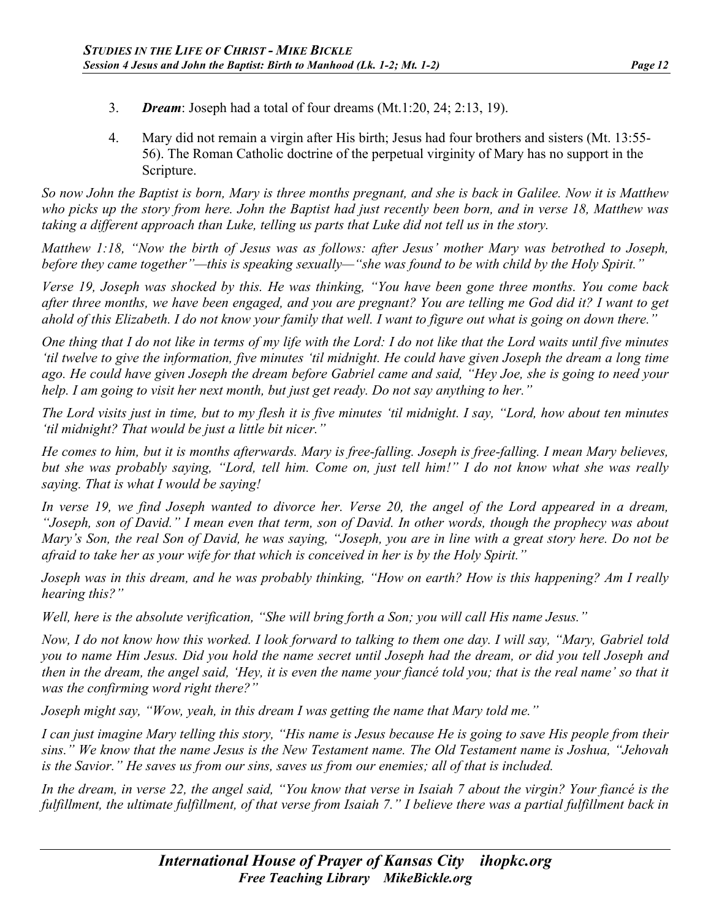- 3. *Dream*: Joseph had a total of four dreams (Mt.1:20, 24; 2:13, 19).
- 4. Mary did not remain a virgin after His birth; Jesus had four brothers and sisters (Mt. 13:55- 56). The Roman Catholic doctrine of the perpetual virginity of Mary has no support in the Scripture.

*So now John the Baptist is born, Mary is three months pregnant, and she is back in Galilee. Now it is Matthew who picks up the story from here. John the Baptist had just recently been born, and in verse 18, Matthew was taking a different approach than Luke, telling us parts that Luke did not tell us in the story.*

*Matthew 1:18, "Now the birth of Jesus was as follows: after Jesus' mother Mary was betrothed to Joseph, before they came together"—this is speaking sexually—"she was found to be with child by the Holy Spirit."*

*Verse 19, Joseph was shocked by this. He was thinking, "You have been gone three months. You come back after three months, we have been engaged, and you are pregnant? You are telling me God did it? I want to get ahold of this Elizabeth. I do not know your family that well. I want to figure out what is going on down there."*

*One thing that I do not like in terms of my life with the Lord: I do not like that the Lord waits until five minutes 'til twelve to give the information, five minutes 'til midnight. He could have given Joseph the dream a long time ago. He could have given Joseph the dream before Gabriel came and said, "Hey Joe, she is going to need your help. I am going to visit her next month, but just get ready. Do not say anything to her."*

*The Lord visits just in time, but to my flesh it is five minutes 'til midnight. I say, "Lord, how about ten minutes 'til midnight? That would be just a little bit nicer."*

*He comes to him, but it is months afterwards. Mary is free-falling. Joseph is free-falling. I mean Mary believes, but she was probably saying, "Lord, tell him. Come on, just tell him!" I do not know what she was really saying. That is what I would be saying!*

*In verse 19, we find Joseph wanted to divorce her. Verse 20, the angel of the Lord appeared in a dream, "Joseph, son of David." I mean even that term, son of David. In other words, though the prophecy was about Mary's Son, the real Son of David, he was saying, "Joseph, you are in line with a great story here. Do not be afraid to take her as your wife for that which is conceived in her is by the Holy Spirit."*

*Joseph was in this dream, and he was probably thinking, "How on earth? How is this happening? Am I really hearing this?"*

*Well, here is the absolute verification, "She will bring forth a Son; you will call His name Jesus."*

*Now, I do not know how this worked. I look forward to talking to them one day. I will say, "Mary, Gabriel told you to name Him Jesus. Did you hold the name secret until Joseph had the dream, or did you tell Joseph and then in the dream, the angel said, 'Hey, it is even the name your fiancé told you; that is the real name' so that it was the confirming word right there?"*

*Joseph might say, "Wow, yeah, in this dream I was getting the name that Mary told me."*

*I can just imagine Mary telling this story, "His name is Jesus because He is going to save His people from their sins." We know that the name Jesus is the New Testament name. The Old Testament name is Joshua, "Jehovah is the Savior." He saves us from our sins, saves us from our enemies; all of that is included.*

*In the dream, in verse 22, the angel said, "You know that verse in Isaiah 7 about the virgin? Your fiancé is the fulfillment, the ultimate fulfillment, of that verse from Isaiah 7." I believe there was a partial fulfillment back in*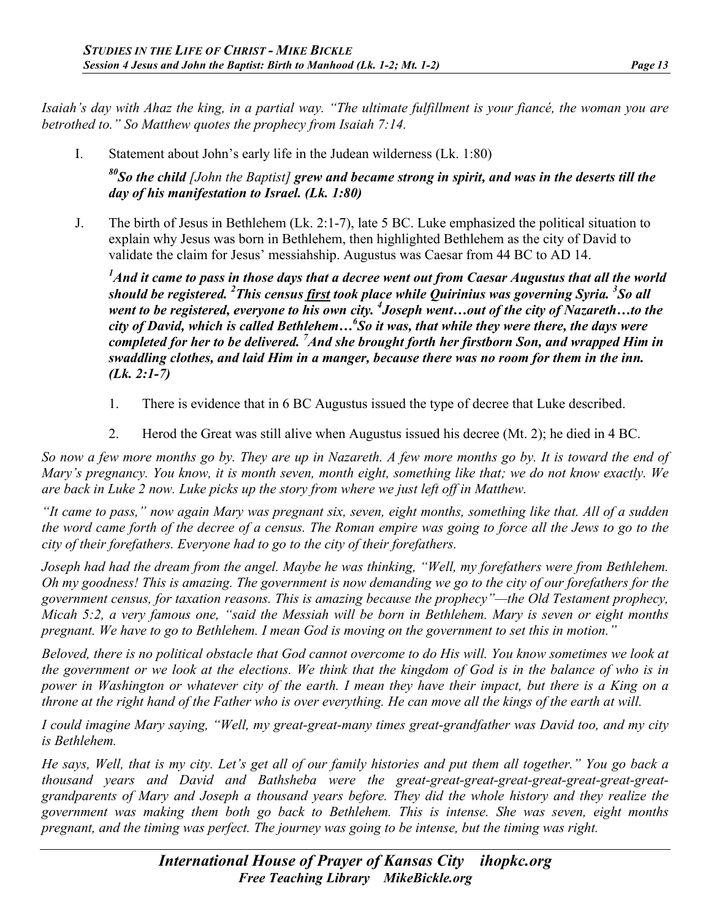*Isaiah's day with Ahaz the king, in a partial way. "The ultimate fulfillment is your fiancé, the woman you are betrothed to." So Matthew quotes the prophecy from Isaiah 7:14.*

I. Statement about John's early life in the Judean wilderness (Lk. 1:80)

*80So the child [John the Baptist] grew and became strong in spirit, and was in the deserts till the day of his manifestation to Israel. (Lk. 1:80)*

J. The birth of Jesus in Bethlehem (Lk. 2:1-7), late 5 BC. Luke emphasized the political situation to explain why Jesus was born in Bethlehem, then highlighted Bethlehem as the city of David to validate the claim for Jesus' messiahship. Augustus was Caesar from 44 BC to AD 14.

*1 And it came to pass in those days that a decree went out from Caesar Augustus that all the world should be registered. <sup>2</sup> This census first took place while Quirinius was governing Syria. 3 So all went to be registered, everyone to his own city. <sup>4</sup> Joseph went…out of the city of Nazareth…to the city of David, which is called Bethlehem…6 So it was, that while they were there, the days were completed for her to be delivered. <sup>7</sup> And she brought forth her firstborn Son, and wrapped Him in swaddling clothes, and laid Him in a manger, because there was no room for them in the inn. (Lk. 2:1-7)*

- 1. There is evidence that in 6 BC Augustus issued the type of decree that Luke described.
- 2. Herod the Great was still alive when Augustus issued his decree (Mt. 2); he died in 4 BC.

*So now a few more months go by. They are up in Nazareth. A few more months go by. It is toward the end of Mary's pregnancy. You know, it is month seven, month eight, something like that; we do not know exactly. We are back in Luke 2 now. Luke picks up the story from where we just left off in Matthew.*

*"It came to pass," now again Mary was pregnant six, seven, eight months, something like that. All of a sudden the word came forth of the decree of a census. The Roman empire was going to force all the Jews to go to the city of their forefathers. Everyone had to go to the city of their forefathers.*

*Joseph had had the dream from the angel. Maybe he was thinking, "Well, my forefathers were from Bethlehem. Oh my goodness! This is amazing. The government is now demanding we go to the city of our forefathers for the government census, for taxation reasons. This is amazing because the prophecy"—the Old Testament prophecy, Micah 5:2, a very famous one, "said the Messiah will be born in Bethlehem. Mary is seven or eight months pregnant. We have to go to Bethlehem. I mean God is moving on the government to set this in motion."*

*Beloved, there is no political obstacle that God cannot overcome to do His will. You know sometimes we look at the government or we look at the elections. We think that the kingdom of God is in the balance of who is in power in Washington or whatever city of the earth. I mean they have their impact, but there is a King on a throne at the right hand of the Father who is over everything. He can move all the kings of the earth at will.*

*I could imagine Mary saying, "Well, my great-great-many times great-grandfather was David too, and my city is Bethlehem.*

*He says, Well, that is my city. Let's get all of our family histories and put them all together." You go back a thousand years and David and Bathsheba were the great-great-great-great-great-great-great-greatgrandparents of Mary and Joseph a thousand years before. They did the whole history and they realize the government was making them both go back to Bethlehem. This is intense. She was seven, eight months pregnant, and the timing was perfect. The journey was going to be intense, but the timing was right.*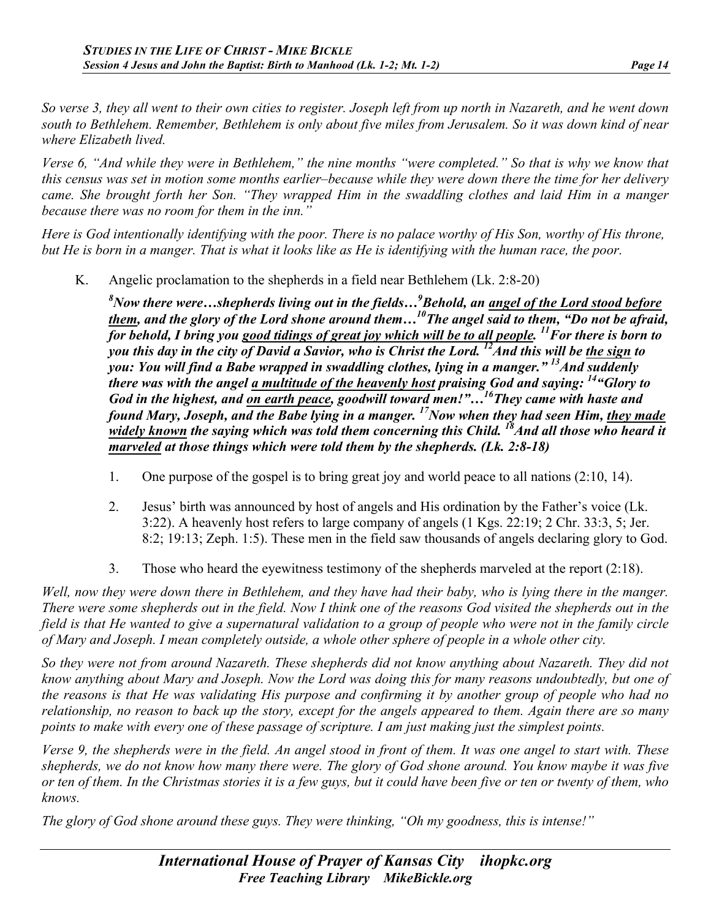*So verse 3, they all went to their own cities to register. Joseph left from up north in Nazareth, and he went down south to Bethlehem. Remember, Bethlehem is only about five miles from Jerusalem. So it was down kind of near where Elizabeth lived.*

*Verse 6, "And while they were in Bethlehem," the nine months "were completed." So that is why we know that this census was set in motion some months earlier–because while they were down there the time for her delivery came. She brought forth her Son. "They wrapped Him in the swaddling clothes and laid Him in a manger because there was no room for them in the inn."*

*Here is God intentionally identifying with the poor. There is no palace worthy of His Son, worthy of His throne, but He is born in a manger. That is what it looks like as He is identifying with the human race, the poor.*

K. Angelic proclamation to the shepherds in a field near Bethlehem (Lk. 2:8-20)

*8 Now there were…shepherds living out in the fields…<sup>9</sup> Behold, an angel of the Lord stood before them, and the glory of the Lord shone around them…10The angel said to them, "Do not be afraid, for behold, I bring you good tidings of great joy which will be to all people. 11For there is born to you this day in the city of David a Savior, who is Christ the Lord. 12And this will be the sign to you: You will find a Babe wrapped in swaddling clothes, lying in a manger." 13And suddenly there was with the angel a multitude of the heavenly host praising God and saying: 14"Glory to God in the highest, and on earth peace, goodwill toward men!"…16They came with haste and found Mary, Joseph, and the Babe lying in a manger. 17Now when they had seen Him, they made*  widely known the saying which was told them concerning this Child. <sup>18</sup> And all those who heard it *marveled at those things which were told them by the shepherds. (Lk. 2:8-18)*

- 1. One purpose of the gospel is to bring great joy and world peace to all nations (2:10, 14).
- 2. Jesus' birth was announced by host of angels and His ordination by the Father's voice (Lk. 3:22). A heavenly host refers to large company of angels (1 Kgs. 22:19; 2 Chr. 33:3, 5; Jer. 8:2; 19:13; Zeph. 1:5). These men in the field saw thousands of angels declaring glory to God.
- 3. Those who heard the eyewitness testimony of the shepherds marveled at the report (2:18).

*Well, now they were down there in Bethlehem, and they have had their baby, who is lying there in the manger. There were some shepherds out in the field. Now I think one of the reasons God visited the shepherds out in the field is that He wanted to give a supernatural validation to a group of people who were not in the family circle of Mary and Joseph. I mean completely outside, a whole other sphere of people in a whole other city.*

*So they were not from around Nazareth. These shepherds did not know anything about Nazareth. They did not know anything about Mary and Joseph. Now the Lord was doing this for many reasons undoubtedly, but one of the reasons is that He was validating His purpose and confirming it by another group of people who had no relationship, no reason to back up the story, except for the angels appeared to them. Again there are so many points to make with every one of these passage of scripture. I am just making just the simplest points.*

*Verse 9, the shepherds were in the field. An angel stood in front of them. It was one angel to start with. These shepherds, we do not know how many there were. The glory of God shone around. You know maybe it was five or ten of them. In the Christmas stories it is a few guys, but it could have been five or ten or twenty of them, who knows.*

*The glory of God shone around these guys. They were thinking, "Oh my goodness, this is intense!"*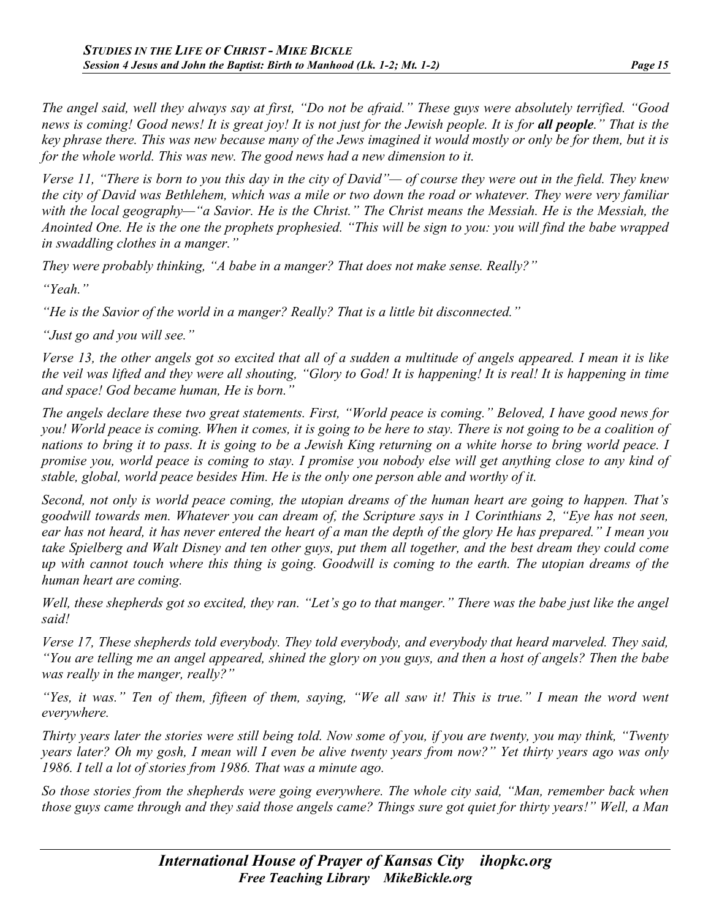*The angel said, well they always say at first, "Do not be afraid." These guys were absolutely terrified. "Good news is coming! Good news! It is great joy! It is not just for the Jewish people. It is for all people." That is the key phrase there. This was new because many of the Jews imagined it would mostly or only be for them, but it is for the whole world. This was new. The good news had a new dimension to it.* 

*Verse 11, "There is born to you this day in the city of David"— of course they were out in the field. They knew the city of David was Bethlehem, which was a mile or two down the road or whatever. They were very familiar with the local geography—"a Savior. He is the Christ." The Christ means the Messiah. He is the Messiah, the Anointed One. He is the one the prophets prophesied. "This will be sign to you: you will find the babe wrapped in swaddling clothes in a manger."*

*They were probably thinking, "A babe in a manger? That does not make sense. Really?"*

*"Yeah."*

*"He is the Savior of the world in a manger? Really? That is a little bit disconnected."*

*"Just go and you will see."*

*Verse 13, the other angels got so excited that all of a sudden a multitude of angels appeared. I mean it is like the veil was lifted and they were all shouting, "Glory to God! It is happening! It is real! It is happening in time and space! God became human, He is born."*

*The angels declare these two great statements. First, "World peace is coming." Beloved, I have good news for you! World peace is coming. When it comes, it is going to be here to stay. There is not going to be a coalition of nations to bring it to pass. It is going to be a Jewish King returning on a white horse to bring world peace. I promise you, world peace is coming to stay. I promise you nobody else will get anything close to any kind of stable, global, world peace besides Him. He is the only one person able and worthy of it.*

*Second, not only is world peace coming, the utopian dreams of the human heart are going to happen. That's goodwill towards men. Whatever you can dream of, the Scripture says in 1 Corinthians 2, "Eye has not seen, ear has not heard, it has never entered the heart of a man the depth of the glory He has prepared." I mean you take Spielberg and Walt Disney and ten other guys, put them all together, and the best dream they could come up with cannot touch where this thing is going. Goodwill is coming to the earth. The utopian dreams of the human heart are coming.*

*Well, these shepherds got so excited, they ran. "Let's go to that manger." There was the babe just like the angel said!*

*Verse 17, These shepherds told everybody. They told everybody, and everybody that heard marveled. They said, "You are telling me an angel appeared, shined the glory on you guys, and then a host of angels? Then the babe was really in the manger, really?"*

*"Yes, it was." Ten of them, fifteen of them, saying, "We all saw it! This is true." I mean the word went everywhere.*

*Thirty years later the stories were still being told. Now some of you, if you are twenty, you may think, "Twenty years later? Oh my gosh, I mean will I even be alive twenty years from now?" Yet thirty years ago was only 1986. I tell a lot of stories from 1986. That was a minute ago.*

*So those stories from the shepherds were going everywhere. The whole city said, "Man, remember back when those guys came through and they said those angels came? Things sure got quiet for thirty years!" Well, a Man*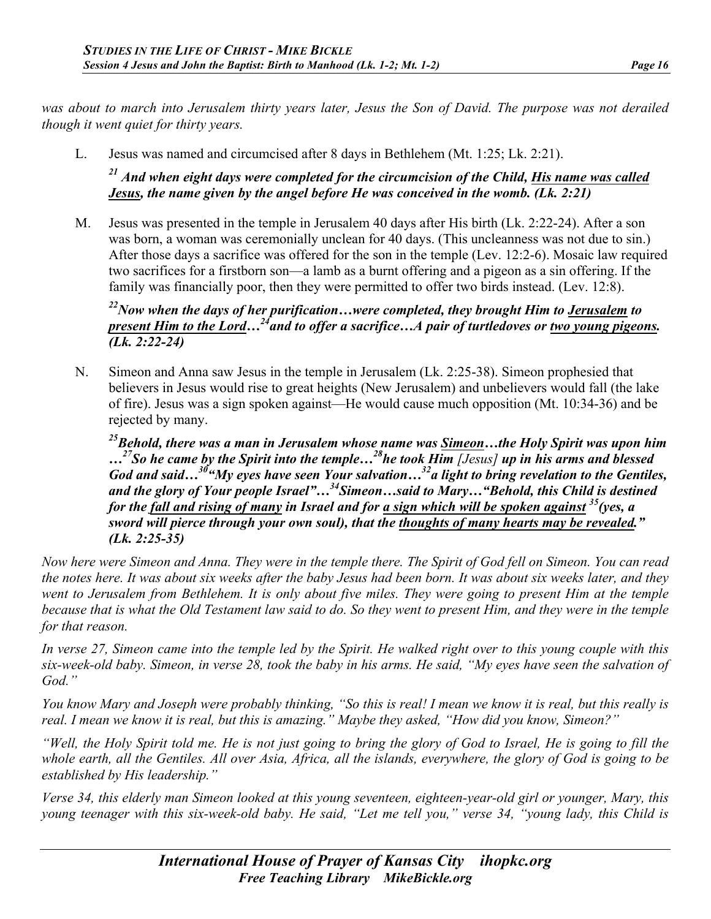*was about to march into Jerusalem thirty years later, Jesus the Son of David. The purpose was not derailed though it went quiet for thirty years.*

L. Jesus was named and circumcised after 8 days in Bethlehem (Mt. 1:25; Lk. 2:21).

*<sup>21</sup> And when eight days were completed for the circumcision of the Child, His name was called Jesus, the name given by the angel before He was conceived in the womb. (Lk. 2:21)*

M. Jesus was presented in the temple in Jerusalem 40 days after His birth (Lk. 2:22-24). After a son was born, a woman was ceremonially unclean for 40 days. (This uncleanness was not due to sin.) After those days a sacrifice was offered for the son in the temple (Lev. 12:2-6). Mosaic law required two sacrifices for a firstborn son—a lamb as a burnt offering and a pigeon as a sin offering. If the family was financially poor, then they were permitted to offer two birds instead. (Lev. 12:8).

*22Now when the days of her purification…were completed, they brought Him to Jerusalem to present Him to the Lord…24and to offer a sacrifice…A pair of turtledoves or two young pigeons. (Lk. 2:22-24)*

N. Simeon and Anna saw Jesus in the temple in Jerusalem (Lk. 2:25-38). Simeon prophesied that believers in Jesus would rise to great heights (New Jerusalem) and unbelievers would fall (the lake of fire). Jesus was a sign spoken against—He would cause much opposition (Mt. 10:34-36) and be rejected by many.

*25Behold, there was a man in Jerusalem whose name was Simeon…the Holy Spirit was upon him …27So he came by the Spirit into the temple…28he took Him [Jesus] up in his arms and blessed God and said…30"My eyes have seen Your salvation…32a light to bring revelation to the Gentiles, and the glory of Your people Israel"…34Simeon…said to Mary…"Behold, this Child is destined for the fall and rising of many in Israel and for a sign which will be spoken against 35(yes, a sword will pierce through your own soul), that the thoughts of many hearts may be revealed." (Lk. 2:25-35)*

*Now here were Simeon and Anna. They were in the temple there. The Spirit of God fell on Simeon. You can read the notes here. It was about six weeks after the baby Jesus had been born. It was about six weeks later, and they went to Jerusalem from Bethlehem. It is only about five miles. They were going to present Him at the temple because that is what the Old Testament law said to do. So they went to present Him, and they were in the temple for that reason.*

*In verse 27, Simeon came into the temple led by the Spirit. He walked right over to this young couple with this six-week-old baby. Simeon, in verse 28, took the baby in his arms. He said, "My eyes have seen the salvation of God."*

*You know Mary and Joseph were probably thinking, "So this is real! I mean we know it is real, but this really is real. I mean we know it is real, but this is amazing." Maybe they asked, "How did you know, Simeon?"*

*"Well, the Holy Spirit told me. He is not just going to bring the glory of God to Israel, He is going to fill the whole earth, all the Gentiles. All over Asia, Africa, all the islands, everywhere, the glory of God is going to be established by His leadership."*

*Verse 34, this elderly man Simeon looked at this young seventeen, eighteen-year-old girl or younger, Mary, this young teenager with this six-week-old baby. He said, "Let me tell you," verse 34, "young lady, this Child is*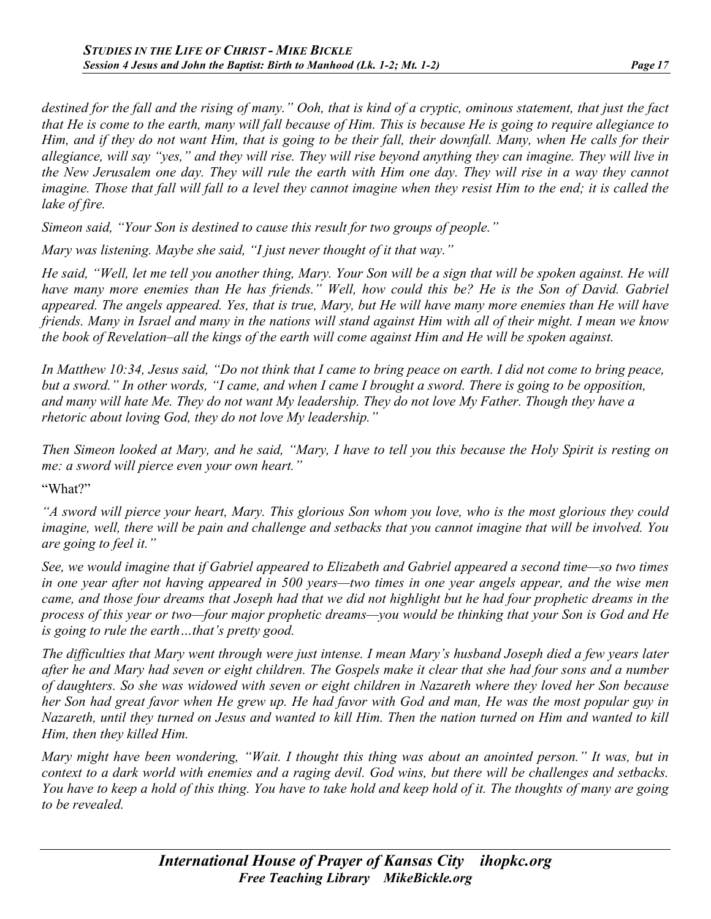*destined for the fall and the rising of many." Ooh, that is kind of a cryptic, ominous statement, that just the fact that He is come to the earth, many will fall because of Him. This is because He is going to require allegiance to Him, and if they do not want Him, that is going to be their fall, their downfall. Many, when He calls for their allegiance, will say "yes," and they will rise. They will rise beyond anything they can imagine. They will live in the New Jerusalem one day. They will rule the earth with Him one day. They will rise in a way they cannot imagine. Those that fall will fall to a level they cannot imagine when they resist Him to the end; it is called the lake of fire.*

*Simeon said, "Your Son is destined to cause this result for two groups of people."*

*Mary was listening. Maybe she said, "I just never thought of it that way."*

*He said, "Well, let me tell you another thing, Mary. Your Son will be a sign that will be spoken against. He will have many more enemies than He has friends." Well, how could this be? He is the Son of David. Gabriel appeared. The angels appeared. Yes, that is true, Mary, but He will have many more enemies than He will have friends. Many in Israel and many in the nations will stand against Him with all of their might. I mean we know the book of Revelation–all the kings of the earth will come against Him and He will be spoken against.* 

*In Matthew 10:34, Jesus said, "Do not think that I came to bring peace on earth. I did not come to bring peace, but a sword." In other words, "I came, and when I came I brought a sword. There is going to be opposition, and many will hate Me. They do not want My leadership. They do not love My Father. Though they have a rhetoric about loving God, they do not love My leadership."*

*Then Simeon looked at Mary, and he said, "Mary, I have to tell you this because the Holy Spirit is resting on me: a sword will pierce even your own heart."*

"What?"

*"A sword will pierce your heart, Mary. This glorious Son whom you love, who is the most glorious they could imagine, well, there will be pain and challenge and setbacks that you cannot imagine that will be involved. You are going to feel it."*

*See, we would imagine that if Gabriel appeared to Elizabeth and Gabriel appeared a second time—so two times in one year after not having appeared in 500 years—two times in one year angels appear, and the wise men came, and those four dreams that Joseph had that we did not highlight but he had four prophetic dreams in the process of this year or two—four major prophetic dreams—you would be thinking that your Son is God and He is going to rule the earth…that's pretty good.*

*The difficulties that Mary went through were just intense. I mean Mary's husband Joseph died a few years later after he and Mary had seven or eight children. The Gospels make it clear that she had four sons and a number of daughters. So she was widowed with seven or eight children in Nazareth where they loved her Son because her Son had great favor when He grew up. He had favor with God and man, He was the most popular guy in Nazareth, until they turned on Jesus and wanted to kill Him. Then the nation turned on Him and wanted to kill Him, then they killed Him.*

*Mary might have been wondering, "Wait. I thought this thing was about an anointed person." It was, but in context to a dark world with enemies and a raging devil. God wins, but there will be challenges and setbacks. You have to keep a hold of this thing. You have to take hold and keep hold of it. The thoughts of many are going to be revealed.*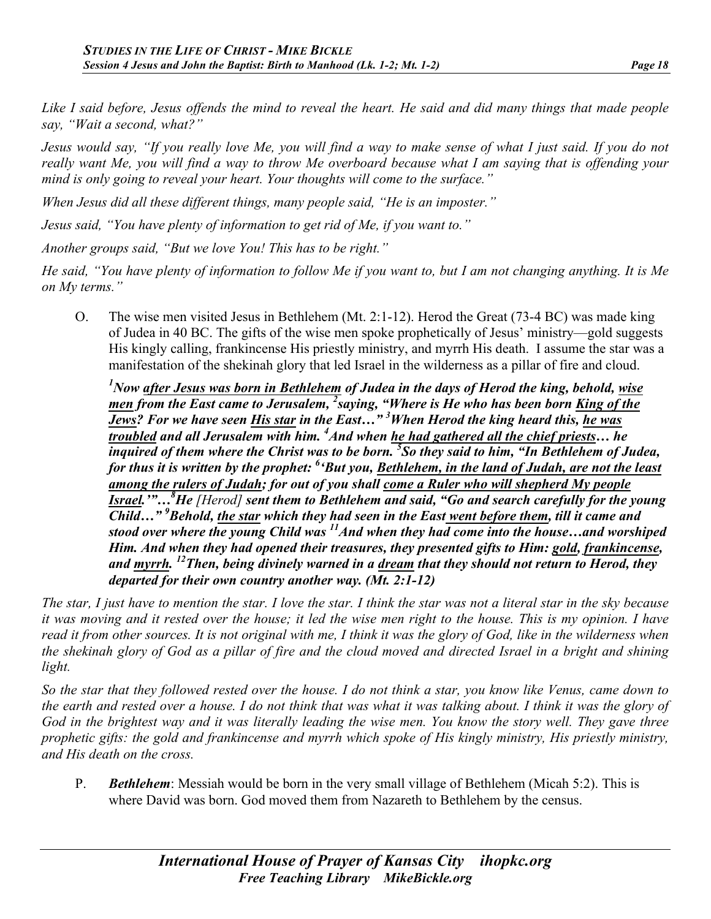*Like I said before, Jesus offends the mind to reveal the heart. He said and did many things that made people say, "Wait a second, what?"*

*Jesus would say, "If you really love Me, you will find a way to make sense of what I just said. If you do not really want Me, you will find a way to throw Me overboard because what I am saying that is offending your mind is only going to reveal your heart. Your thoughts will come to the surface."*

*When Jesus did all these different things, many people said, "He is an imposter."*

*Jesus said, "You have plenty of information to get rid of Me, if you want to."*

*Another groups said, "But we love You! This has to be right."*

*He said, "You have plenty of information to follow Me if you want to, but I am not changing anything. It is Me on My terms."*

O. The wise men visited Jesus in Bethlehem (Mt. 2:1-12). Herod the Great (73-4 BC) was made king of Judea in 40 BC. The gifts of the wise men spoke prophetically of Jesus' ministry—gold suggests His kingly calling, frankincense His priestly ministry, and myrrh His death. I assume the star was a manifestation of the shekinah glory that led Israel in the wilderness as a pillar of fire and cloud.

*1 Now after Jesus was born in Bethlehem of Judea in the days of Herod the king, behold, wise men from the East came to Jerusalem, <sup>2</sup> saying, "Where is He who has been born King of the Jews? For we have seen His star in the East…" 3 When Herod the king heard this, he was troubled and all Jerusalem with him. <sup>4</sup> And when he had gathered all the chief priests… he inquired of them where the Christ was to be born. 5 So they said to him, "In Bethlehem of Judea,*  for thus it is written by the prophet: <sup>6</sup> 'But you, <u>Bethlehem, in the land of Judah, are not the least</u> *among the rulers of Judah; for out of you shall come a Ruler who will shepherd My people Israel.'"…8 He [Herod] sent them to Bethlehem and said, "Go and search carefully for the young Child…" <sup>9</sup> Behold, the star which they had seen in the East went before them, till it came and stood over where the young Child was* <sup>11</sup> And when they had come into the house...and worshiped *Him. And when they had opened their treasures, they presented gifts to Him: gold, frankincense, and myrrh. 12Then, being divinely warned in a dream that they should not return to Herod, they departed for their own country another way. (Mt. 2:1-12)*

*The star, I just have to mention the star. I love the star. I think the star was not a literal star in the sky because it was moving and it rested over the house; it led the wise men right to the house. This is my opinion. I have read it from other sources. It is not original with me, I think it was the glory of God, like in the wilderness when the shekinah glory of God as a pillar of fire and the cloud moved and directed Israel in a bright and shining light.*

*So the star that they followed rested over the house. I do not think a star, you know like Venus, came down to the earth and rested over a house. I do not think that was what it was talking about. I think it was the glory of God in the brightest way and it was literally leading the wise men. You know the story well. They gave three prophetic gifts: the gold and frankincense and myrrh which spoke of His kingly ministry, His priestly ministry, and His death on the cross.*

P. *Bethlehem*: Messiah would be born in the very small village of Bethlehem (Micah 5:2). This is where David was born. God moved them from Nazareth to Bethlehem by the census.